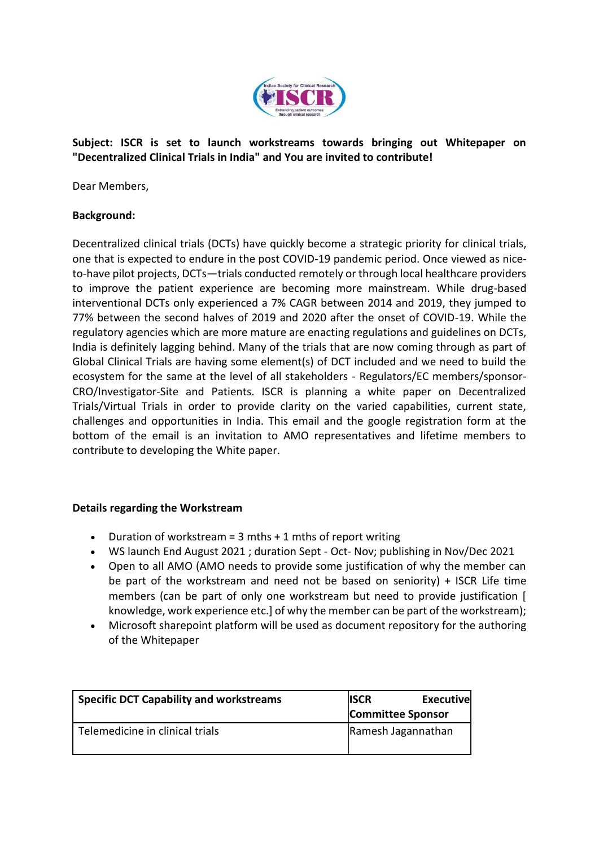

**Subject: ISCR is set to launch workstreams towards bringing out Whitepaper on "Decentralized Clinical Trials in India" and You are invited to contribute!**

Dear Members,

## **Background:**

Decentralized clinical trials (DCTs) have quickly become a strategic priority for clinical trials, one that is expected to endure in the post COVID-19 pandemic period. Once viewed as niceto-have pilot projects, DCTs—trials conducted remotely or through local healthcare providers to improve the patient experience are becoming more mainstream. While drug-based interventional DCTs only experienced a 7% CAGR between 2014 and 2019, they jumped to 77% between the second halves of 2019 and 2020 after the onset of COVID-19. While the regulatory agencies which are more mature are enacting regulations and guidelines on DCTs, India is definitely lagging behind. Many of the trials that are now coming through as part of Global Clinical Trials are having some element(s) of DCT included and we need to build the ecosystem for the same at the level of all stakeholders - Regulators/EC members/sponsor-CRO/Investigator-Site and Patients. ISCR is planning a white paper on Decentralized Trials/Virtual Trials in order to provide clarity on the varied capabilities, current state, challenges and opportunities in India. This email and the google registration form at the bottom of the email is an invitation to AMO representatives and lifetime members to contribute to developing the White paper.

## **Details regarding the Workstream**

- Duration of workstream =  $3$  mths + 1 mths of report writing
- WS launch End August 2021 ; duration Sept Oct- Nov; publishing in Nov/Dec 2021
- Open to all AMO (AMO needs to provide some justification of why the member can be part of the workstream and need not be based on seniority) + ISCR Life time members (can be part of only one workstream but need to provide justification [ knowledge, work experience etc.] of why the member can be part of the workstream);
- Microsoft sharepoint platform will be used as document repository for the authoring of the Whitepaper

| <b>Specific DCT Capability and workstreams</b> | <b>ISCR</b>              | <b>Executive</b> |
|------------------------------------------------|--------------------------|------------------|
|                                                | <b>Committee Sponsor</b> |                  |
| Telemedicine in clinical trials                | Ramesh Jagannathan       |                  |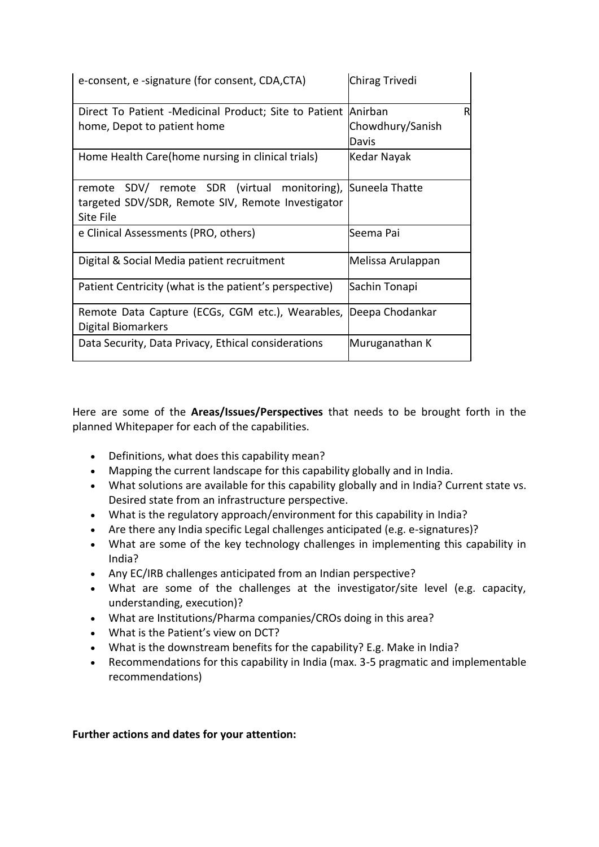| e-consent, e -signature (for consent, CDA,CTA)                                                                    | Chirag Trivedi                 |
|-------------------------------------------------------------------------------------------------------------------|--------------------------------|
| Direct To Patient -Medicinal Product; Site to Patient Anirban<br>home, Depot to patient home                      | R<br>Chowdhury/Sanish<br>Davis |
| Home Health Care(home nursing in clinical trials)                                                                 | Kedar Nayak                    |
| SDV/ remote SDR (virtual monitoring),<br>remote<br>targeted SDV/SDR, Remote SIV, Remote Investigator<br>Site File | Suneela Thatte                 |
| e Clinical Assessments (PRO, others)                                                                              | Seema Pai                      |
| Digital & Social Media patient recruitment                                                                        | Melissa Arulappan              |
| Patient Centricity (what is the patient's perspective)                                                            | Sachin Tonapi                  |
| Remote Data Capture (ECGs, CGM etc.), Wearables, Deepa Chodankar<br>Digital Biomarkers                            |                                |
| Data Security, Data Privacy, Ethical considerations                                                               | Muruganathan K                 |

Here are some of the **Areas/Issues/Perspectives** that needs to be brought forth in the planned Whitepaper for each of the capabilities.

- Definitions, what does this capability mean?
- Mapping the current landscape for this capability globally and in India.
- What solutions are available for this capability globally and in India? Current state vs. Desired state from an infrastructure perspective.
- What is the regulatory approach/environment for this capability in India?
- Are there any India specific Legal challenges anticipated (e.g. e-signatures)?
- What are some of the key technology challenges in implementing this capability in India?
- Any EC/IRB challenges anticipated from an Indian perspective?
- What are some of the challenges at the investigator/site level (e.g. capacity, understanding, execution)?
- What are Institutions/Pharma companies/CROs doing in this area?
- What is the Patient's view on DCT?
- What is the downstream benefits for the capability? E.g. Make in India?
- Recommendations for this capability in India (max. 3-5 pragmatic and implementable recommendations)

## **Further actions and dates for your attention:**